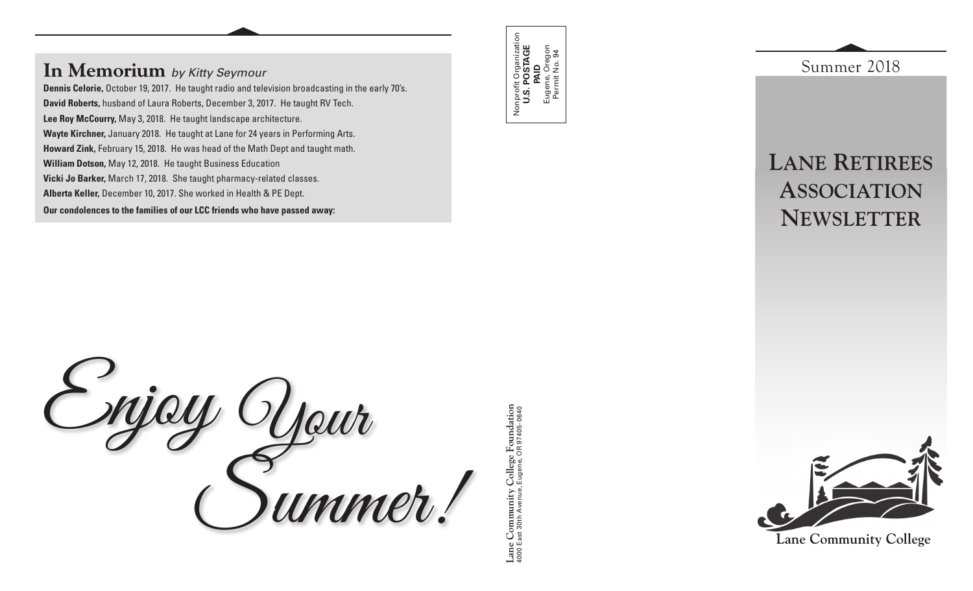## **In Memorium** *by Kitty Seymour*

**Dennis Celorie,** October 19, 2017. He taught radio and television broadcasting in the early 70's. **David Roberts,** husband of Laura Roberts, December 3, 2017. He taught RV Tech. **Lee Roy McCourry,** May 3, 2018. He taught landscape architecture. **Wayte Kirchner,** January 2018. He taught at Lane for 24 years in Performing Arts. **Howard Zink,** February 15, 2018. He was head of the Math Dept and taught math. **William Dotson,** May 12, 2018. He taught Business Education **Vicki Jo Barker,** March 17, 2018. She taught pharmacy-related classes. **Alberta Keller,** December 10, 2017. She worked in Health & PE Dept. **Our condolences to the families of our LCC friends who have passed away:**

Enjoy Your Summer!

Nonprofit Organization **U.S. POSTAGE**  Nonprofit Organization<br>**U.S. POSTAGE**<br>Eugene, Oregon<br>Eugene, Oregon Eugene, Oregon Permit No. 94

**Lane Community College Foundation** 4000 East 30th Avenue, Eugene, OR 97405-0640

Lane Community College Foundation<br>4000 East 30th Avenue, Eugene, OR 97405-0640

**Lane Retirees Association Newsletter**

Summer 2018



**Lane Community College**